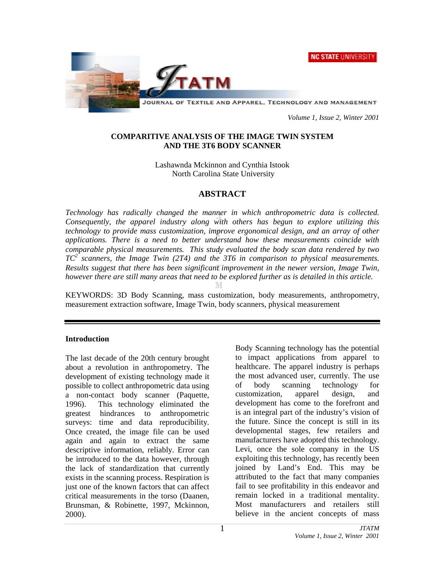**NC STATE UNIVERSITY** 



 *Volume 1, Issue 2, Winter 2001* 

# **COMPARITIVE ANALYSIS OF THE IMAGE TWIN SYSTEM AND THE 3T6 BODY SCANNER**

Lashawnda Mckinnon and Cynthia Istook North Carolina State University

# **ABSTRACT**

*Technology has radically changed the manner in which anthropometric data is collected. Consequently, the apparel industry along with others has begun to explore utilizing this technology to provide mass customization, improve ergonomical design, and an array of other applications. There is a need to better understand how these measurements coincide with comparable physical measurements. This study evaluated the body scan data rendered by two TC2 scanners, the Image Twin (2T4) and the 3T6 in comparison to physical measurements. Results suggest that there has been significant improvement in the newer version, Image Twin, however there are still many areas that need to be explored further as is detailed in this article.*

KEYWORDS: 3D Body Scanning, mass customization, body measurements, anthropometry, measurement extraction software, Image Twin, body scanners, physical measurement

M

### **Introduction**

The last decade of the 20th century brought about a revolution in anthropometry. The development of existing technology made it possible to collect anthropometric data using a non-contact body scanner (Paquette, 1996). This technology eliminated the greatest hindrances to anthropometric surveys: time and data reproducibility. Once created, the image file can be used again and again to extract the same descriptive information, reliably. Error can be introduced to the data however, through the lack of standardization that currently exists in the scanning process. Respiration is just one of the known factors that can affect critical measurements in the torso (Daanen, Brunsman, & Robinette, 1997, Mckinnon, 2000).

Body Scanning technology has the potential to impact applications from apparel to healthcare. The apparel industry is perhaps the most advanced user, currently. The use of body scanning technology for customization, apparel design, and development has come to the forefront and is an integral part of the industry's vision of the future. Since the concept is still in its developmental stages, few retailers and manufacturers have adopted this technology. Levi, once the sole company in the US exploiting this technology, has recently been joined by Land's End. This may be attributed to the fact that many companies fail to see profitability in this endeavor and remain locked in a traditional mentality. Most manufacturers and retailers still believe in the ancient concepts of mass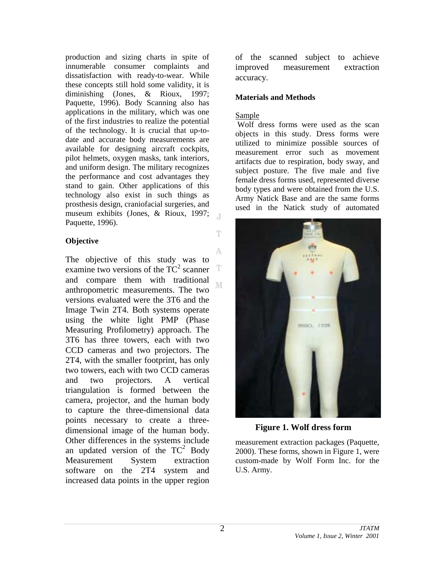production and sizing charts in spite of innumerable consumer complaints and dissatisfaction with ready-to-wear. While these concepts still hold some validity, it is diminishing (Jones, & Rioux, 1997; Paquette, 1996). Body Scanning also has applications in the military, which was one of the first industries to realize the potential of the technology. It is crucial that up-todate and accurate body measurements are available for designing aircraft cockpits, pilot helmets, oxygen masks, tank interiors, and uniform design. The military recognizes the performance and cost advantages they stand to gain. Other applications of this technology also exist in such things as prosthesis design, craniofacial surgeries, and museum exhibits (Jones, & Rioux, 1997;  $\overline{A}$ Paquette, 1996).

# **Objective**

А The objective of this study was to examine two versions of the  $TC^2$  scanner and compare them with traditional M anthropometric measurements. The two versions evaluated were the 3T6 and the Image Twin 2T4. Both systems operate using the white light PMP (Phase Measuring Profilometry) approach. The 3T6 has three towers, each with two CCD cameras and two projectors. The 2T4, with the smaller footprint, has only two towers, each with two CCD cameras and two projectors. A vertical triangulation is formed between the camera, projector, and the human body to capture the three-dimensional data points necessary to create a threedimensional image of the human body. Other differences in the systems include an updated version of the  $TC^2$  Body Measurement System extraction software on the 2T4 system and increased data points in the upper region

of the scanned subject to achieve improved measurement extraction accuracy.

# **Materials and Methods**

# Sample

T

 Wolf dress forms were used as the scan objects in this study. Dress forms were utilized to minimize possible sources of measurement error such as movement artifacts due to respiration, body sway, and subject posture. The five male and five female dress forms used, represented diverse body types and were obtained from the U.S. Army Natick Base and are the same forms used in the Natick study of automated



# **Figure 1. Wolf dress form**

measurement extraction packages (Paquette, 2000). These forms, shown in Figure 1, were custom-made by Wolf Form Inc. for the U.S. Army.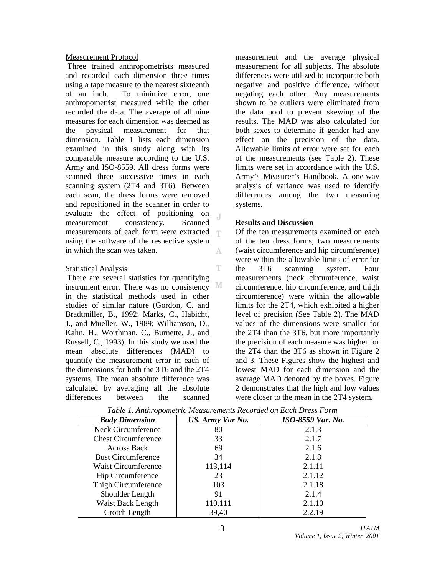#### Measurement Protocol

 Three trained anthropometrists measured and recorded each dimension three times using a tape measure to the nearest sixteenth of an inch. To minimize error, one anthropometrist measured while the other recorded the data. The average of all nine measures for each dimension was deemed as the physical measurement for that dimension. Table 1 lists each dimension examined in this study along with its comparable measure according to the U.S. Army and ISO-8559. All dress forms were scanned three successive times in each scanning system (2T4 and 3T6). Between each scan, the dress forms were removed and repositioned in the scanner in order to evaluate the effect of positioning on  $\overline{A}$ measurement consistency. Scanned measurements of each form were extracted  $\top$ using the software of the respective system in which the scan was taken. A

### Statistical Analysis

 There are several statistics for quantifying instrument error. There was no consistency M in the statistical methods used in other studies of similar nature (Gordon, C. and Bradtmiller, B., 1992; Marks, C., Habicht, J., and Mueller, W., 1989; Williamson, D., Kahn, H., Worthman, C., Burnette, J., and Russell, C., 1993). In this study we used the mean absolute differences (MAD) to quantify the measurement error in each of the dimensions for both the 3T6 and the 2T4 systems. The mean absolute difference was calculated by averaging all the absolute differences between the scanned

measurement and the average physical measurement for all subjects. The absolute differences were utilized to incorporate both negative and positive difference, without negating each other. Any measurements shown to be outliers were eliminated from the data pool to prevent skewing of the results. The MAD was also calculated for both sexes to determine if gender had any effect on the precision of the data. Allowable limits of error were set for each of the measurements (see Table 2). These limits were set in accordance with the U.S. Army's Measurer's Handbook. A one-way analysis of variance was used to identify differences among the two measuring systems.

## **Results and Discussion**

Of the ten measurements examined on each of the ten dress forms, two measurements (waist circumference and hip circumference) were within the allowable limits of error for the 3T6 scanning system. Four measurements (neck circumference, waist circumference, hip circumference, and thigh circumference) were within the allowable limits for the 2T4, which exhibited a higher level of precision (See Table 2). The MAD values of the dimensions were smaller for the 2T4 than the 3T6, but more importantly the precision of each measure was higher for the 2T4 than the 3T6 as shown in Figure 2 and 3. These Figures show the highest and lowest MAD for each dimension and the average MAD denoted by the boxes. Figure 2 demonstrates that the high and low values were closer to the mean in the 2T4 system.

| <b>Body Dimension</b>      | US. Army Var No. | ISO-8559 Var. No. |
|----------------------------|------------------|-------------------|
| Neck Circumference         | 80               | 2.1.3             |
| <b>Chest Circumference</b> | 33               | 2.1.7             |
| <b>Across Back</b>         | 69               | 2.1.6             |
| <b>Bust Circumference</b>  | 34               | 2.1.8             |
| <b>Waist Circumference</b> | 113,114          | 2.1.11            |
| <b>Hip Circumference</b>   | 23               | 2.1.12            |
| Thigh Circumference        | 103              | 2.1.18            |
| Shoulder Length            | 91               | 2.1.4             |
| Waist Back Length          | 110,111          | 2.1.10            |
| Crotch Length              | 39,40            | 2.2.19            |

|  | Table 1. Anthropometric Measurements Recorded on Each Dress Form |  |  |  |
|--|------------------------------------------------------------------|--|--|--|
|  |                                                                  |  |  |  |

Ŧ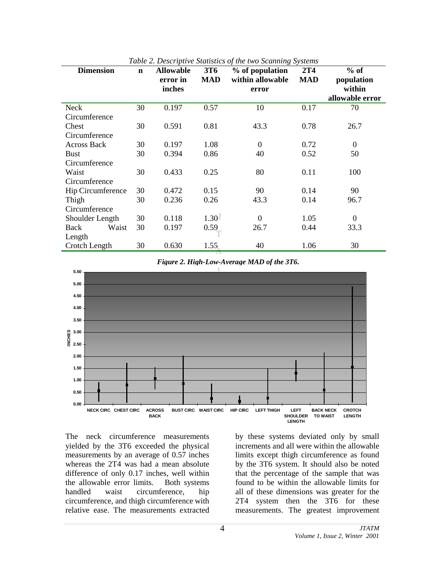| <b>Dimension</b>   | $\mathbf n$ | <b>Allowable</b> | 3T <sub>6</sub> | <b>Twore Li Beschipmed Standards of the two Seamming B foremo</b><br>% of population | 2T <sub>4</sub> | $%$ of          |
|--------------------|-------------|------------------|-----------------|--------------------------------------------------------------------------------------|-----------------|-----------------|
|                    |             | error in         | <b>MAD</b>      | within allowable                                                                     | <b>MAD</b>      | population      |
|                    |             | inches           |                 | error                                                                                |                 | within          |
|                    |             |                  |                 |                                                                                      |                 | allowable error |
| Neck               | 30          | 0.197            | 0.57            | 10                                                                                   | 0.17            | 70              |
| Circumference      |             |                  |                 |                                                                                      |                 |                 |
| Chest              | 30          | 0.591            | 0.81            | 43.3                                                                                 | 0.78            | 26.7            |
| Circumference      |             |                  |                 |                                                                                      |                 |                 |
| <b>Across Back</b> | 30          | 0.197            | 1.08            | $\Omega$                                                                             | 0.72            | $\overline{0}$  |
| <b>Bust</b>        | 30          | 0.394            | 0.86            | 40                                                                                   | 0.52            | 50              |
| Circumference      |             |                  |                 |                                                                                      |                 |                 |
| Waist              | 30          | 0.433            | 0.25            | 80                                                                                   | 0.11            | 100             |
| Circumference      |             |                  |                 |                                                                                      |                 |                 |
| Hip Circumference  | 30          | 0.472            | 0.15            | 90                                                                                   | 0.14            | 90              |
| Thigh              | 30          | 0.236            | 0.26            | 43.3                                                                                 | 0.14            | 96.7            |
| Circumference      |             |                  |                 |                                                                                      |                 |                 |
| Shoulder Length    | 30          | 0.118            | 1.30            | $\theta$                                                                             | 1.05            | $\Omega$        |
| Waist<br>Back      | 30          | 0.197            | 0.59            | 26.7                                                                                 | 0.44            | 33.3            |
| Length             |             |                  |                 |                                                                                      |                 |                 |
| Crotch Length      | 30          | 0.630            | 1.55            | 40                                                                                   | 1.06            | 30              |

*Table 2. Descriptive Statistics of the two Scanning Systems*

*Figure 2. High-Low-Average MAD of the 3T6.*



The neck circumference measurements yielded by the 3T6 exceeded the physical measurements by an average of 0.57 inches whereas the 2T4 was had a mean absolute difference of only 0.17 inches, well within the allowable error limits. Both systems handled waist circumference, hip circumference, and thigh circumference with relative ease. The measurements extracted by these systems deviated only by small increments and all were within the allowable limits except thigh circumference as found by the 3T6 system. It should also be noted that the percentage of the sample that was found to be within the allowable limits for all of these dimensions was greater for the 2T4 system then the 3T6 for these measurements. The greatest improvement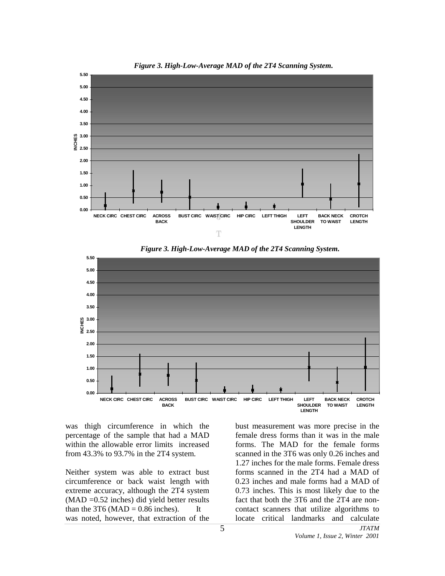

*Figure 3. High-Low-Average MAD of the 2T4 Scanning System.* 

*Figure 3. High-Low-Average MAD of the 2T4 Scanning System.*



was thigh circumference in which the percentage of the sample that had a MAD within the allowable error limits increased from 43.3% to 93.7% in the 2T4 system.

Neither system was able to extract bust circumference or back waist length with extreme accuracy, although the 2T4 system (MAD =0.52 inches) did yield better results than the 3T6 (MAD =  $0.86$  inches). It was noted, however, that extraction of the bust measurement was more precise in the female dress forms than it was in the male forms. The MAD for the female forms scanned in the 3T6 was only 0.26 inches and 1.27 inches for the male forms. Female dress forms scanned in the 2T4 had a MAD of 0.23 inches and male forms had a MAD of 0.73 inches. This is most likely due to the fact that both the 3T6 and the 2T4 are noncontact scanners that utilize algorithms to locate critical landmarks and calculate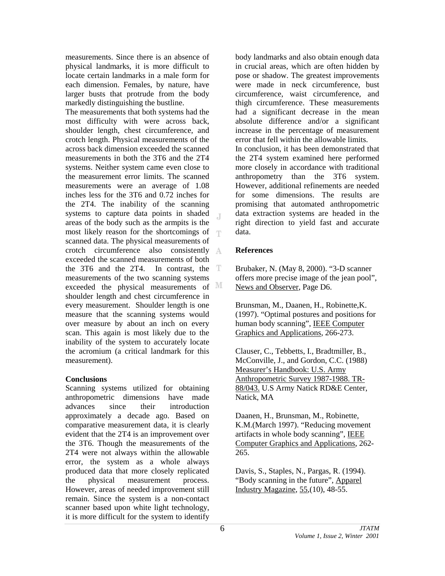measurements. Since there is an absence of physical landmarks, it is more difficult to locate certain landmarks in a male form for each dimension. Females, by nature, have larger busts that protrude from the body markedly distinguishing the bustline.

The measurements that both systems had the most difficulty with were across back, shoulder length, chest circumference, and crotch length. Physical measurements of the across back dimension exceeded the scanned measurements in both the 3T6 and the 2T4 systems. Neither system came even close to the measurement error limits. The scanned measurements were an average of 1.08 inches less for the 3T6 and 0.72 inches for the 2T4. The inability of the scanning systems to capture data points in shaded T. areas of the body such as the armpits is the most likely reason for the shortcomings of  $\blacksquare$ scanned data. The physical measurements of crotch circumference also consistently exceeded the scanned measurements of both the 3T6 and the 2T4. In contrast, the measurements of the two scanning systems exceeded the physical measurements of M shoulder length and chest circumference in every measurement. Shoulder length is one measure that the scanning systems would over measure by about an inch on every scan. This again is most likely due to the inability of the system to accurately locate the acromium (a critical landmark for this measurement).

### **Conclusions**

Scanning systems utilized for obtaining anthropometric dimensions have made advances since their introduction approximately a decade ago. Based on comparative measurement data, it is clearly evident that the 2T4 is an improvement over the 3T6. Though the measurements of the 2T4 were not always within the allowable error, the system as a whole always produced data that more closely replicated the physical measurement process. However, areas of needed improvement still remain. Since the system is a non-contact scanner based upon white light technology, it is more difficult for the system to identify

body landmarks and also obtain enough data in crucial areas, which are often hidden by pose or shadow. The greatest improvements were made in neck circumference, bust circumference, waist circumference, and thigh circumference. These measurements had a significant decrease in the mean absolute difference and/or a significant increase in the percentage of measurement error that fell within the allowable limits.

In conclusion, it has been demonstrated that the 2T4 system examined here performed more closely in accordance with traditional anthropometry than the 3T6 system. However, additional refinements are needed for some dimensions. The results are promising that automated anthropometric data extraction systems are headed in the right direction to yield fast and accurate data.

## **References**

Brubaker, N. (May 8, 2000). "3-D scanner offers more precise image of the jean pool", News and Observer, Page D6.

Brunsman, M., Daanen, H., Robinette,K. (1997). "Optimal postures and positions for human body scanning", IEEE Computer Graphics and Applications, 266-273.

Clauser, C., Tebbetts, I., Bradtmiller, B., McConville, J., and Gordon, C.C. (1988) Measurer's Handbook: U.S. Army Anthropometric Survey 1987-1988. TR-88/043. U.S Army Natick RD&E Center, Natick, MA

Daanen, H., Brunsman, M., Robinette, K.M.(March 1997). "Reducing movement artifacts in whole body scanning", IEEE Computer Graphics and Applications, 262- 265.

Davis, S., Staples, N., Pargas, R. (1994). "Body scanning in the future", Apparel Industry Magazine, 55,(10), 48-55.